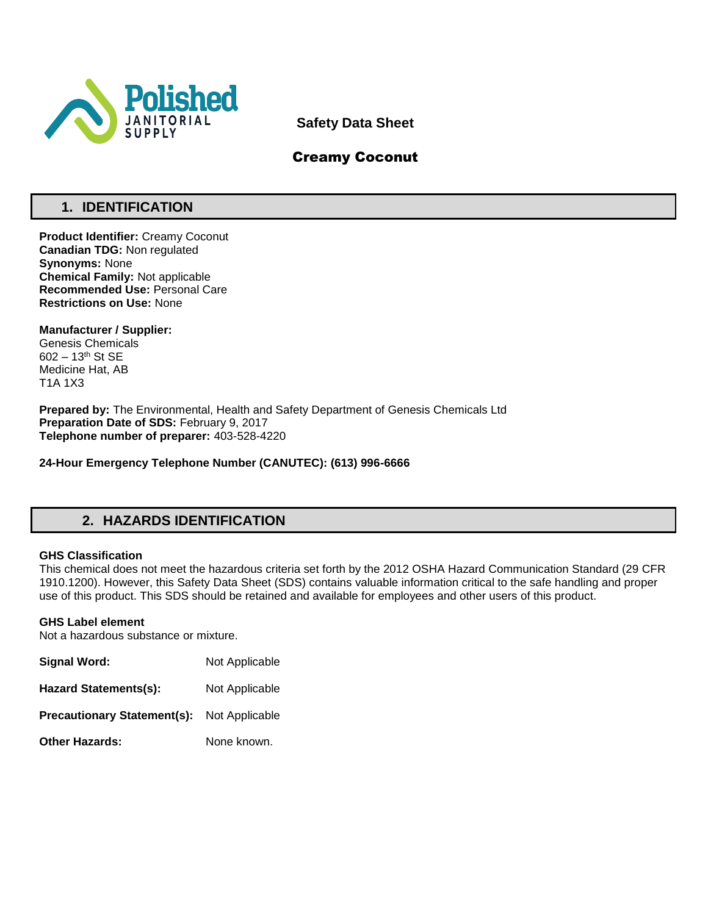

**Safety Data Sheet**

# Creamy Coconut

# **1. IDENTIFICATION**

**Product Identifier:** Creamy Coconut **Canadian TDG:** Non regulated **Synonyms:** None **Chemical Family:** Not applicable **Recommended Use:** Personal Care **Restrictions on Use:** None

**Manufacturer / Supplier:** Genesis Chemicals 602 – 13th St SE Medicine Hat, AB T1A 1X3

**Prepared by:** The Environmental, Health and Safety Department of Genesis Chemicals Ltd **Preparation Date of SDS:** February 9, 2017 **Telephone number of preparer:** 403-528-4220

**24-Hour Emergency Telephone Number (CANUTEC): (613) 996-6666**

# **2. HAZARDS IDENTIFICATION**

## **GHS Classification**

This chemical does not meet the hazardous criteria set forth by the 2012 OSHA Hazard Communication Standard (29 CFR 1910.1200). However, this Safety Data Sheet (SDS) contains valuable information critical to the safe handling and proper use of this product. This SDS should be retained and available for employees and other users of this product.

## **GHS Label element**

Not a hazardous substance or mixture.

| Signal Word:                       | Not Applicable |
|------------------------------------|----------------|
| <b>Hazard Statements(s):</b>       | Not Applicable |
| <b>Precautionary Statement(s):</b> | Not Applicable |
| <b>Other Hazards:</b>              | None known.    |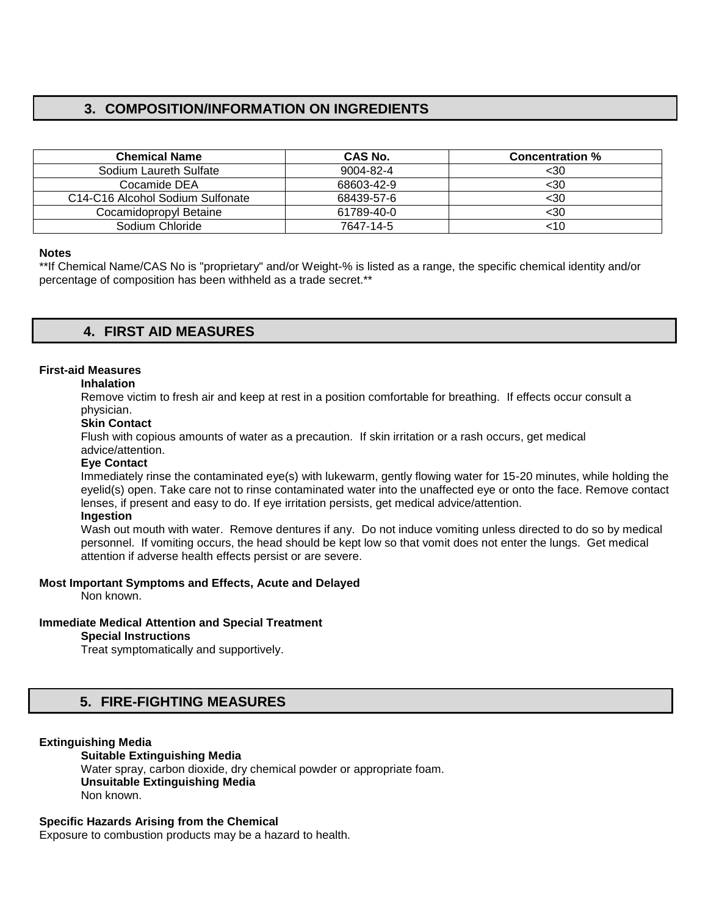# **3. COMPOSITION/INFORMATION ON INGREDIENTS**

| <b>Chemical Name</b>                                      | CAS No.    | <b>Concentration %</b> |
|-----------------------------------------------------------|------------|------------------------|
| Sodium Laureth Sulfate                                    | 9004-82-4  | <30                    |
| Cocamide DEA                                              | 68603-42-9 | $30$                   |
| C <sub>14</sub> -C <sub>16</sub> Alcohol Sodium Sulfonate | 68439-57-6 | $30$                   |
| Cocamidopropyl Betaine                                    | 61789-40-0 | <30                    |
| Sodium Chloride                                           | 7647-14-5  | <10                    |

#### **Notes**

\*\*If Chemical Name/CAS No is "proprietary" and/or Weight-% is listed as a range, the specific chemical identity and/or percentage of composition has been withheld as a trade secret.\*\*

# **4. FIRST AID MEASURES**

# **First-aid Measures**

#### **Inhalation**

Remove victim to fresh air and keep at rest in a position comfortable for breathing. If effects occur consult a physician.

# **Skin Contact**

Flush with copious amounts of water as a precaution. If skin irritation or a rash occurs, get medical advice/attention.

## **Eye Contact**

Immediately rinse the contaminated eye(s) with lukewarm, gently flowing water for 15-20 minutes, while holding the eyelid(s) open. Take care not to rinse contaminated water into the unaffected eye or onto the face. Remove contact lenses, if present and easy to do. If eye irritation persists, get medical advice/attention.

# **Ingestion**

Wash out mouth with water. Remove dentures if any. Do not induce vomiting unless directed to do so by medical personnel. If vomiting occurs, the head should be kept low so that vomit does not enter the lungs. Get medical attention if adverse health effects persist or are severe.

#### **Most Important Symptoms and Effects, Acute and Delayed**

Non known.

## **Immediate Medical Attention and Special Treatment**

#### **Special Instructions**

Treat symptomatically and supportively.

# **5. FIRE-FIGHTING MEASURES**

#### **Extinguishing Media**

### **Suitable Extinguishing Media**

Water spray, carbon dioxide, dry chemical powder or appropriate foam. **Unsuitable Extinguishing Media**  Non known.

## **Specific Hazards Arising from the Chemical**

Exposure to combustion products may be a hazard to health.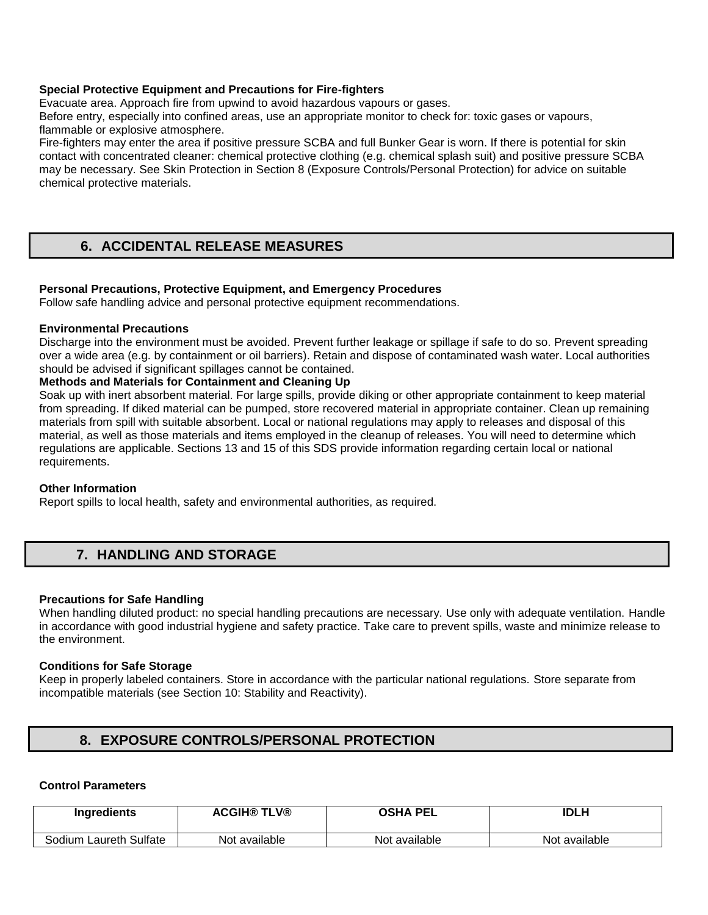# **Special Protective Equipment and Precautions for Fire-fighters**

Evacuate area. Approach fire from upwind to avoid hazardous vapours or gases.

Before entry, especially into confined areas, use an appropriate monitor to check for: toxic gases or vapours, flammable or explosive atmosphere.

Fire-fighters may enter the area if positive pressure SCBA and full Bunker Gear is worn. If there is potential for skin contact with concentrated cleaner: chemical protective clothing (e.g. chemical splash suit) and positive pressure SCBA may be necessary. See Skin Protection in Section 8 (Exposure Controls/Personal Protection) for advice on suitable chemical protective materials.

# **6. ACCIDENTAL RELEASE MEASURES**

# **Personal Precautions, Protective Equipment, and Emergency Procedures**

Follow safe handling advice and personal protective equipment recommendations.

## **Environmental Precautions**

Discharge into the environment must be avoided. Prevent further leakage or spillage if safe to do so. Prevent spreading over a wide area (e.g. by containment or oil barriers). Retain and dispose of contaminated wash water. Local authorities should be advised if significant spillages cannot be contained.

# **Methods and Materials for Containment and Cleaning Up**

Soak up with inert absorbent material. For large spills, provide diking or other appropriate containment to keep material from spreading. If diked material can be pumped, store recovered material in appropriate container. Clean up remaining materials from spill with suitable absorbent. Local or national regulations may apply to releases and disposal of this material, as well as those materials and items employed in the cleanup of releases. You will need to determine which regulations are applicable. Sections 13 and 15 of this SDS provide information regarding certain local or national requirements.

## **Other Information**

Report spills to local health, safety and environmental authorities, as required.

# **7. HANDLING AND STORAGE**

## **Precautions for Safe Handling**

When handling diluted product: no special handling precautions are necessary. Use only with adequate ventilation. Handle in accordance with good industrial hygiene and safety practice. Take care to prevent spills, waste and minimize release to the environment.

## **Conditions for Safe Storage**

Keep in properly labeled containers. Store in accordance with the particular national regulations. Store separate from incompatible materials (see Section 10: Stability and Reactivity).

# **8. EXPOSURE CONTROLS/PERSONAL PROTECTION**

## **Control Parameters**

| <b>Ingredients</b>     | <b>ACGIH® TLV®</b> | <b>OSHA PEL</b> | <b>IDLH</b>   |
|------------------------|--------------------|-----------------|---------------|
| Sodium Laureth Sulfate | Not available      | Not available   | Not available |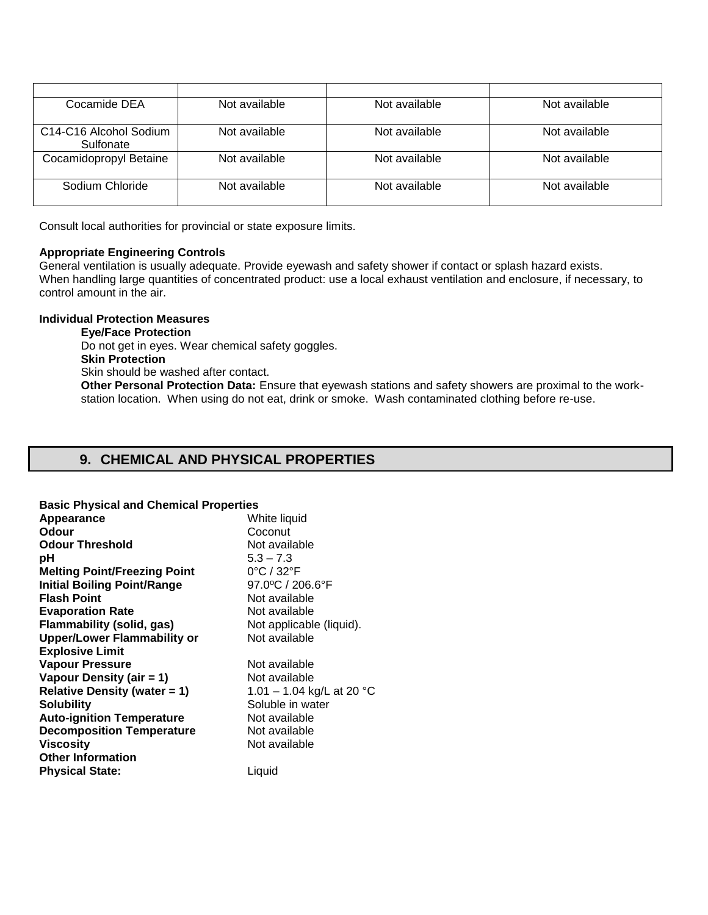| Cocamide DEA                                                 | Not available | Not available | Not available |
|--------------------------------------------------------------|---------------|---------------|---------------|
| C <sub>14</sub> -C <sub>16</sub> Alcohol Sodium<br>Sulfonate | Not available | Not available | Not available |
| Cocamidopropyl Betaine                                       | Not available | Not available | Not available |
| Sodium Chloride                                              | Not available | Not available | Not available |

Consult local authorities for provincial or state exposure limits.

## **Appropriate Engineering Controls**

General ventilation is usually adequate. Provide eyewash and safety shower if contact or splash hazard exists. When handling large quantities of concentrated product: use a local exhaust ventilation and enclosure, if necessary, to control amount in the air.

# **Individual Protection Measures**

**Eye/Face Protection**  Do not get in eyes. Wear chemical safety goggles. **Skin Protection**  Skin should be washed after contact. **Other Personal Protection Data:** Ensure that eyewash stations and safety showers are proximal to the workstation location. When using do not eat, drink or smoke. Wash contaminated clothing before re-use.

# **9. CHEMICAL AND PHYSICAL PROPERTIES**

# **Basic Physical and Chemical Properties**

| Appearance                          | White liquid                    |
|-------------------------------------|---------------------------------|
| <b>Odour</b>                        | Coconut                         |
| <b>Odour Threshold</b>              | Not available                   |
| рH                                  | $5.3 - 7.3$                     |
| <b>Melting Point/Freezing Point</b> | $0^{\circ}$ C / 32 $^{\circ}$ F |
| <b>Initial Boiling Point/Range</b>  | 97.0°C / 206.6°F                |
| <b>Flash Point</b>                  | Not available                   |
| <b>Evaporation Rate</b>             | Not available                   |
| <b>Flammability (solid, gas)</b>    | Not applicable (liquid).        |
| <b>Upper/Lower Flammability or</b>  | Not available                   |
| <b>Explosive Limit</b>              |                                 |
| <b>Vapour Pressure</b>              | Not available                   |
| Vapour Density (air = 1)            | Not available                   |
| Relative Density (water $= 1$ )     | 1.01 – 1.04 kg/L at 20 °C       |
| <b>Solubility</b>                   | Soluble in water                |
| <b>Auto-ignition Temperature</b>    | Not available                   |
| <b>Decomposition Temperature</b>    | Not available                   |
| <b>Viscosity</b>                    | Not available                   |
| <b>Other Information</b>            |                                 |
| <b>Physical State:</b>              | Liquid                          |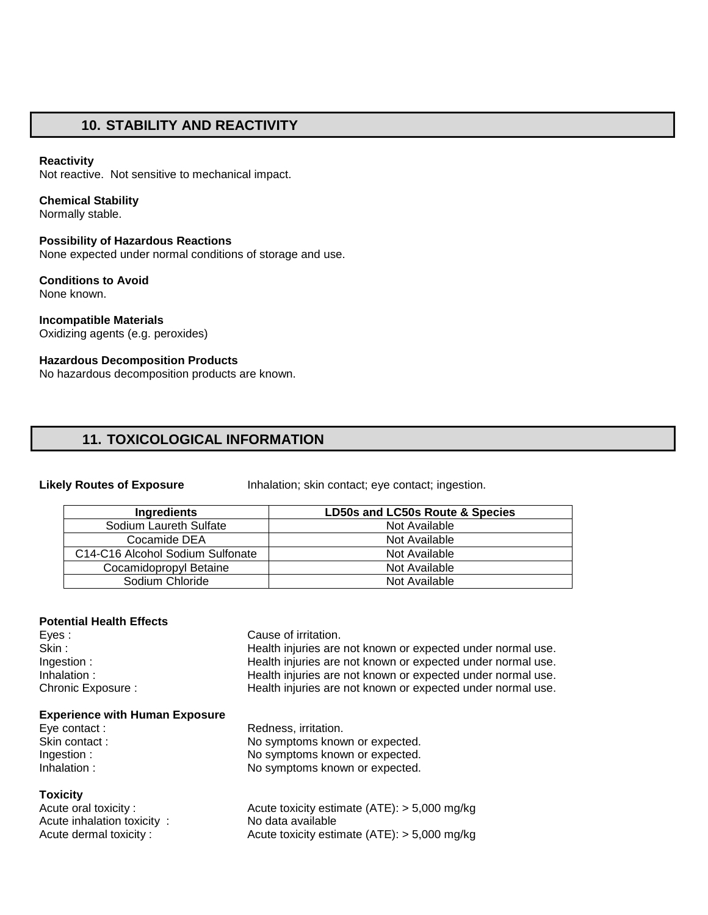# **10. STABILITY AND REACTIVITY**

#### **Reactivity**

Not reactive. Not sensitive to mechanical impact.

#### **Chemical Stability**

Normally stable.

#### **Possibility of Hazardous Reactions**

None expected under normal conditions of storage and use.

#### **Conditions to Avoid**  None known.

**Incompatible Materials**  Oxidizing agents (e.g. peroxides)

### **Hazardous Decomposition Products**

No hazardous decomposition products are known.

# **11. TOXICOLOGICAL INFORMATION**

**Likely Routes of Exposure** Inhalation; skin contact; eye contact; ingestion.

| Ingredients                      | LD50s and LC50s Route & Species |
|----------------------------------|---------------------------------|
| Sodium Laureth Sulfate           | Not Available                   |
| Cocamide DEA                     | Not Available                   |
| C14-C16 Alcohol Sodium Sulfonate | Not Available                   |
| Cocamidopropyl Betaine           | Not Available                   |
| Sodium Chloride                  | Not Available                   |

#### **Potential Health Effects**

Eyes : Cause of irritation. Skin : Skin : Skin : Health injuries are not known or expected under normal use. Ingestion : Health injuries are not known or expected under normal use. Inhalation : **Health injuries are not known or expected under normal use.** Chronic Exposure : Health injuries are not known or expected under normal use.

#### **Experience with Human Exposure**

#### **Toxicity**

Acute inhalation toxicity : No data available

Eye contact : Redness, irritation. Skin contact : No symptoms known or expected. Ingestion :  $\blacksquare$  No symptoms known or expected. Inhalation : No symptoms known or expected.

Acute oral toxicity : Acute toxicity estimate (ATE): > 5,000 mg/kg Acute dermal toxicity : Acute toxicity estimate (ATE): > 5,000 mg/kg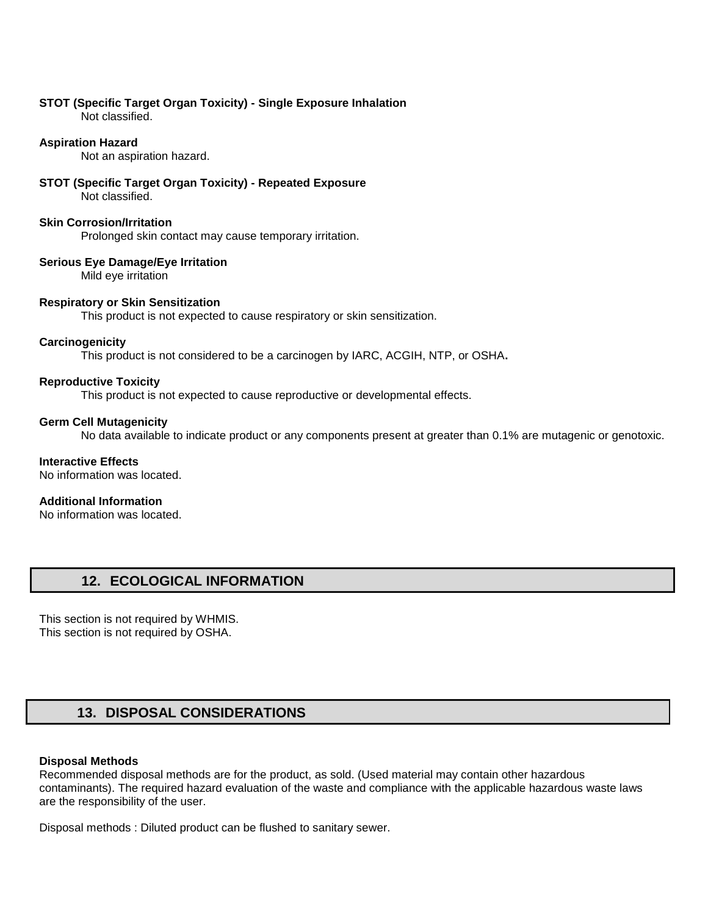# **STOT (Specific Target Organ Toxicity) - Single Exposure Inhalation**

Not classified.

# **Aspiration Hazard**

Not an aspiration hazard.

#### **STOT (Specific Target Organ Toxicity) - Repeated Exposure**  Not classified.

## **Skin Corrosion/Irritation**

Prolonged skin contact may cause temporary irritation.

# **Serious Eye Damage/Eye Irritation**

Mild eye irritation

# **Respiratory or Skin Sensitization**

This product is not expected to cause respiratory or skin sensitization.

# **Carcinogenicity**

This product is not considered to be a carcinogen by IARC, ACGIH, NTP, or OSHA**.** 

# **Reproductive Toxicity**

This product is not expected to cause reproductive or developmental effects.

# **Germ Cell Mutagenicity**

No data available to indicate product or any components present at greater than 0.1% are mutagenic or genotoxic.

## **Interactive Effects**

No information was located.

# **Additional Information**

No information was located.

# **12. ECOLOGICAL INFORMATION**

This section is not required by WHMIS. This section is not required by OSHA.

# **13. DISPOSAL CONSIDERATIONS**

## **Disposal Methods**

Recommended disposal methods are for the product, as sold. (Used material may contain other hazardous contaminants). The required hazard evaluation of the waste and compliance with the applicable hazardous waste laws are the responsibility of the user.

Disposal methods : Diluted product can be flushed to sanitary sewer.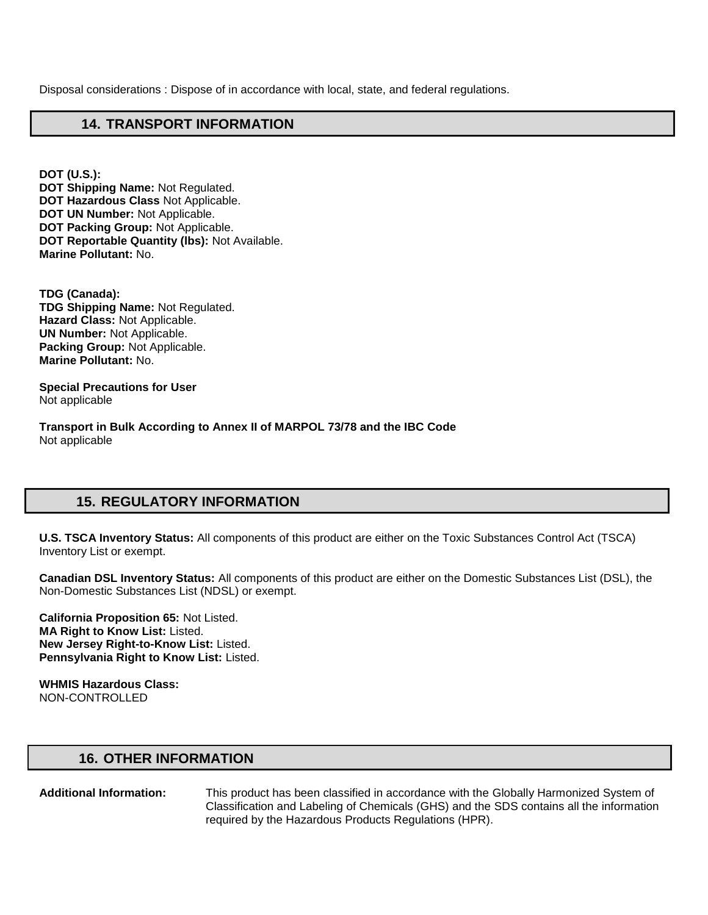Disposal considerations : Dispose of in accordance with local, state, and federal regulations.

# **14. TRANSPORT INFORMATION**

**DOT (U.S.): DOT Shipping Name:** Not Regulated. **DOT Hazardous Class** Not Applicable. **DOT UN Number:** Not Applicable. **DOT Packing Group:** Not Applicable. **DOT Reportable Quantity (lbs):** Not Available. **Marine Pollutant:** No.

**TDG (Canada): TDG Shipping Name:** Not Regulated. **Hazard Class:** Not Applicable. **UN Number:** Not Applicable. **Packing Group:** Not Applicable. **Marine Pollutant:** No.

**Special Precautions for User** Not applicable

**Transport in Bulk According to Annex II of MARPOL 73/78 and the IBC Code**  Not applicable

# **15. REGULATORY INFORMATION**

**U.S. TSCA Inventory Status:** All components of this product are either on the Toxic Substances Control Act (TSCA) Inventory List or exempt.

**Canadian DSL Inventory Status:** All components of this product are either on the Domestic Substances List (DSL), the Non-Domestic Substances List (NDSL) or exempt.

**California Proposition 65:** Not Listed. **MA Right to Know List:** Listed. **New Jersey Right-to-Know List:** Listed. **Pennsylvania Right to Know List:** Listed.

**WHMIS Hazardous Class:** NON-CONTROLLED

# **16. OTHER INFORMATION**

**Additional Information:** This product has been classified in accordance with the Globally Harmonized System of Classification and Labeling of Chemicals (GHS) and the SDS contains all the information required by the Hazardous Products Regulations (HPR).